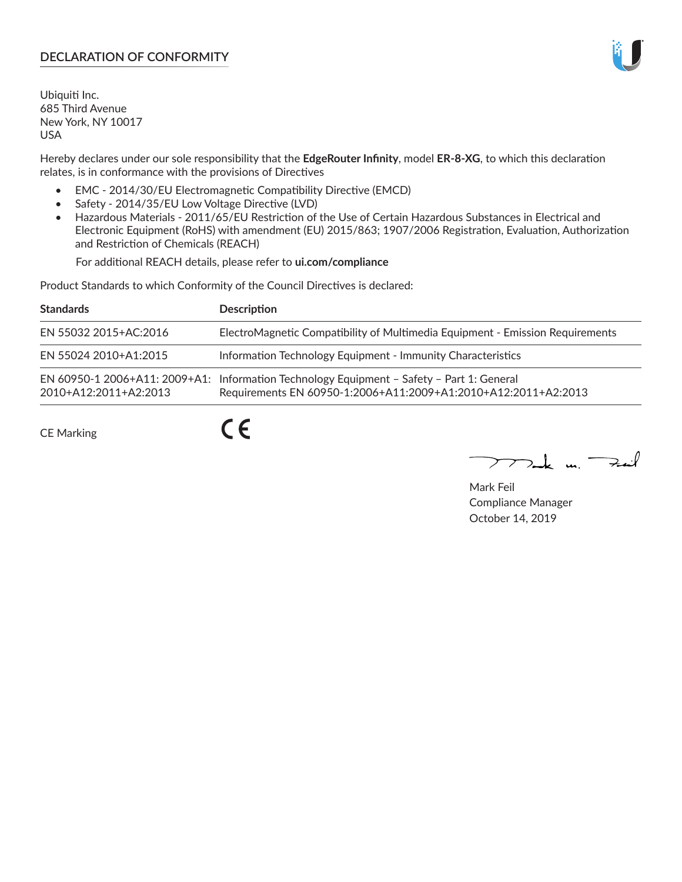# **DECLARATION OF CONFORMITY**

Ubiquiti Inc. 685 Third Avenue New York, NY 10017 USA

Hereby declares under our sole responsibility that the **EdgeRouter Infinity**, model **ER-8-XG**, to which this declaration relates, is in conformance with the provisions of Directives

- EMC 2014/30/EU Electromagnetic Compatibility Directive (EMCD)
- Safety 2014/35/EU Low Voltage Directive (LVD)
- Hazardous Materials 2011/65/EU Restriction of the Use of Certain Hazardous Substances in Electrical and Electronic Equipment (RoHS) with amendment (EU) 2015/863; 1907/2006 Registration, Evaluation, Authorization and Restriction of Chemicals (REACH)

For additional REACH details, please refer to **ui.com/compliance**

Product Standards to which Conformity of the Council Directives is declared:

| <b>Standards</b>      | <b>Description</b>                                                                                                                                          |
|-----------------------|-------------------------------------------------------------------------------------------------------------------------------------------------------------|
| EN 55032 2015+AC:2016 | ElectroMagnetic Compatibility of Multimedia Equipment - Emission Requirements                                                                               |
| EN 55024 2010+A1:2015 | Information Technology Equipment - Immunity Characteristics                                                                                                 |
| 2010+A12:2011+A2:2013 | EN 60950-1 2006+A11: 2009+A1: Information Technology Equipment - Safety - Part 1: General<br>Requirements EN 60950-1:2006+A11:2009+A1:2010+A12:2011+A2:2013 |

CE Marking

 $C \in$ 

 $\nabla$ ak m $\nabla$ zail

Mark Feil Compliance Manager October 14, 2019

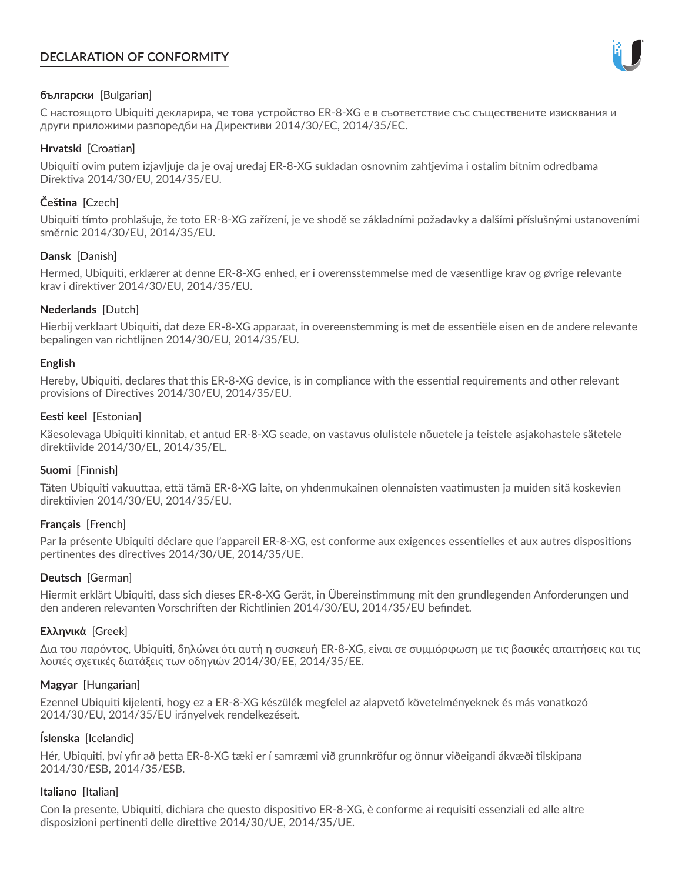# **DECLARATION OF CONFORMITY**



## **български** [Bulgarian]

С настоящото Ubiquiti декларира, че това устройство ER-8-XG е в съответствие със съществените изисквания и други приложими разпоредби на Директиви 2014/30/ЕС, 2014/35/ЕС.

## **Hrvatski** [Croatian]

Ubiquiti ovim putem izjavljuje da je ovaj uređaj ER-8-XG sukladan osnovnim zahtjevima i ostalim bitnim odredbama Direktiva 2014/30/EU, 2014/35/EU.

# **Čeština** [Czech]

Ubiquiti tímto prohlašuje, že toto ER-8-XG zařízení, je ve shodě se základními požadavky a dalšími příslušnými ustanoveními směrnic 2014/30/EU, 2014/35/EU.

## **Dansk** [Danish]

Hermed, Ubiquiti, erklærer at denne ER-8-XG enhed, er i overensstemmelse med de væsentlige krav og øvrige relevante krav i direktiver 2014/30/EU, 2014/35/EU.

## **Nederlands** [Dutch]

Hierbij verklaart Ubiquiti, dat deze ER-8-XG apparaat, in overeenstemming is met de essentiële eisen en de andere relevante bepalingen van richtlijnen 2014/30/EU, 2014/35/EU.

## **English**

Hereby, Ubiquiti, declares that this ER-8-XG device, is in compliance with the essential requirements and other relevant provisions of Directives 2014/30/EU, 2014/35/EU.

## **Eesti keel** [Estonian]

Käesolevaga Ubiquiti kinnitab, et antud ER-8-XG seade, on vastavus olulistele nõuetele ja teistele asjakohastele sätetele direktiivide 2014/30/EL, 2014/35/EL.

## **Suomi** [Finnish]

Täten Ubiquiti vakuuttaa, että tämä ER-8-XG laite, on yhdenmukainen olennaisten vaatimusten ja muiden sitä koskevien direktiivien 2014/30/EU, 2014/35/EU.

## **Français** [French]

Par la présente Ubiquiti déclare que l'appareil ER-8-XG, est conforme aux exigences essentielles et aux autres dispositions pertinentes des directives 2014/30/UE, 2014/35/UE.

## **Deutsch** [German]

Hiermit erklärt Ubiquiti, dass sich dieses ER-8-XG Gerät, in Übereinstimmung mit den grundlegenden Anforderungen und den anderen relevanten Vorschriften der Richtlinien 2014/30/EU, 2014/35/EU befindet.

## **Ελληνικά** [Greek]

Δια του παρόντος, Ubiquiti, δηλώνει ότι αυτή η συσκευή ER-8-XG, είναι σε συμμόρφωση με τις βασικές απαιτήσεις και τις λοιπές σχετικές διατάξεις των οδηγιών 2014/30/EE, 2014/35/EE.

## **Magyar** [Hungarian]

Ezennel Ubiquiti kijelenti, hogy ez a ER-8-XG készülék megfelel az alapvető követelményeknek és más vonatkozó 2014/30/EU, 2014/35/EU irányelvek rendelkezéseit.

## **Íslenska** [Icelandic]

Hér, Ubiquiti, því yfir að þetta ER-8-XG tæki er í samræmi við grunnkröfur og önnur viðeigandi ákvæði tilskipana 2014/30/ESB, 2014/35/ESB.

## **Italiano** [Italian]

Con la presente, Ubiquiti, dichiara che questo dispositivo ER-8-XG, è conforme ai requisiti essenziali ed alle altre disposizioni pertinenti delle direttive 2014/30/UE, 2014/35/UE.